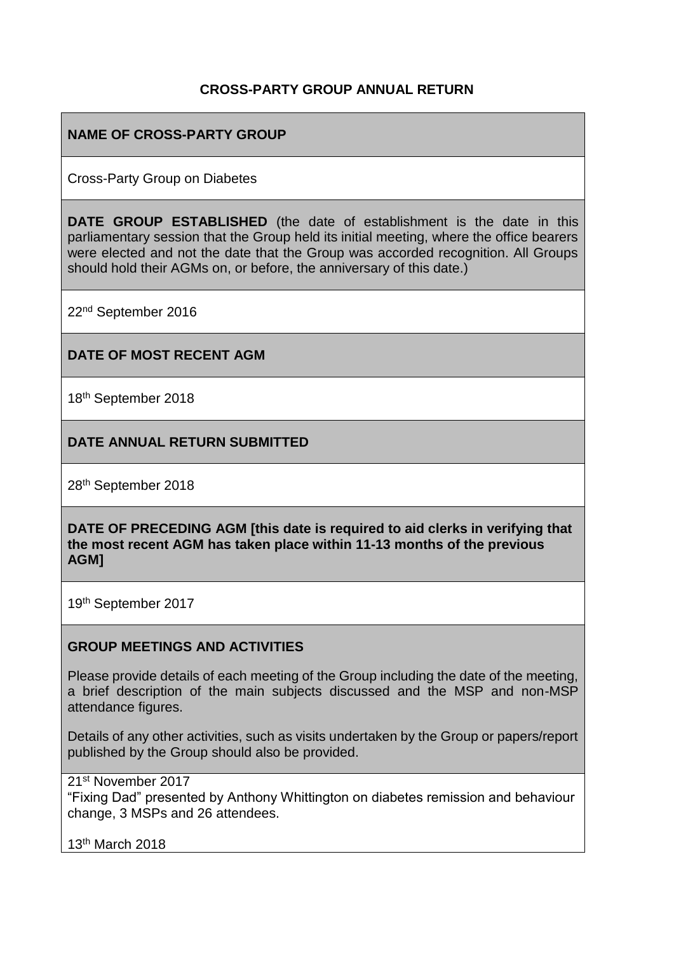### **CROSS-PARTY GROUP ANNUAL RETURN**

### **NAME OF CROSS-PARTY GROUP**

Cross-Party Group on Diabetes

**DATE GROUP ESTABLISHED** (the date of establishment is the date in this parliamentary session that the Group held its initial meeting, where the office bearers were elected and not the date that the Group was accorded recognition. All Groups should hold their AGMs on, or before, the anniversary of this date.)

22nd September 2016

#### **DATE OF MOST RECENT AGM**

18th September 2018

#### **DATE ANNUAL RETURN SUBMITTED**

28th September 2018

**DATE OF PRECEDING AGM [this date is required to aid clerks in verifying that the most recent AGM has taken place within 11-13 months of the previous AGM]**

19th September 2017

#### **GROUP MEETINGS AND ACTIVITIES**

Please provide details of each meeting of the Group including the date of the meeting, a brief description of the main subjects discussed and the MSP and non-MSP attendance figures.

Details of any other activities, such as visits undertaken by the Group or papers/report published by the Group should also be provided.

21st November 2017

"Fixing Dad" presented by Anthony Whittington on diabetes remission and behaviour change, 3 MSPs and 26 attendees.

13th March 2018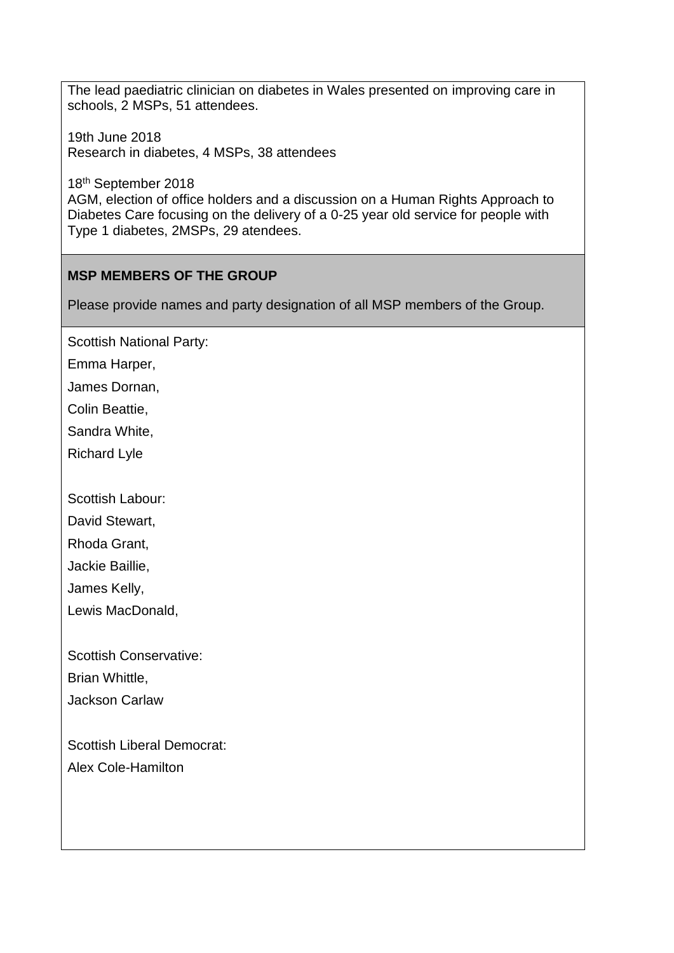The lead paediatric clinician on diabetes in Wales presented on improving care in schools, 2 MSPs, 51 attendees.

19th June 2018 Research in diabetes, 4 MSPs, 38 attendees

18th September 2018 AGM, election of office holders and a discussion on a Human Rights Approach to Diabetes Care focusing on the delivery of a 0-25 year old service for people with Type 1 diabetes, 2MSPs, 29 atendees.

### **MSP MEMBERS OF THE GROUP**

Please provide names and party designation of all MSP members of the Group.

Scottish National Party:

Emma Harper,

James Dornan,

Colin Beattie,

Sandra White,

Richard Lyle

Scottish Labour:

David Stewart,

Rhoda Grant,

Jackie Baillie,

James Kelly,

Lewis MacDonald,

Scottish Conservative:

Brian Whittle,

Jackson Carlaw

Scottish Liberal Democrat: Alex Cole-Hamilton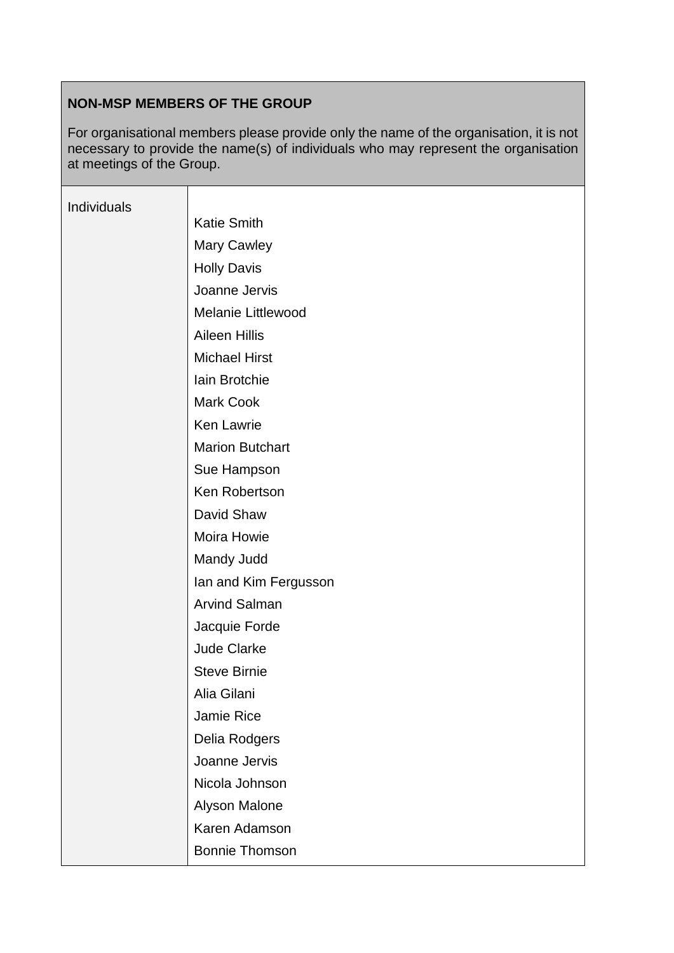# **NON-MSP MEMBERS OF THE GROUP**

For organisational members please provide only the name of the organisation, it is not necessary to provide the name(s) of individuals who may represent the organisation at meetings of the Group.

| Individuals |                           |
|-------------|---------------------------|
|             | <b>Katie Smith</b>        |
|             | Mary Cawley               |
|             | <b>Holly Davis</b>        |
|             | Joanne Jervis             |
|             | <b>Melanie Littlewood</b> |
|             | <b>Aileen Hillis</b>      |
|             | <b>Michael Hirst</b>      |
|             | Iain Brotchie             |
|             | Mark Cook                 |
|             | <b>Ken Lawrie</b>         |
|             | <b>Marion Butchart</b>    |
|             | Sue Hampson               |
|             | Ken Robertson             |
|             | David Shaw                |
|             | Moira Howie               |
|             | Mandy Judd                |
|             | Ian and Kim Fergusson     |
|             | <b>Arvind Salman</b>      |
|             | Jacquie Forde             |
|             | Jude Clarke               |
|             | <b>Steve Birnie</b>       |
|             | Alia Gilani               |
|             | Jamie Rice                |
|             | Delia Rodgers             |
|             | Joanne Jervis             |
|             | Nicola Johnson            |
|             | Alyson Malone             |
|             | Karen Adamson             |
|             | <b>Bonnie Thomson</b>     |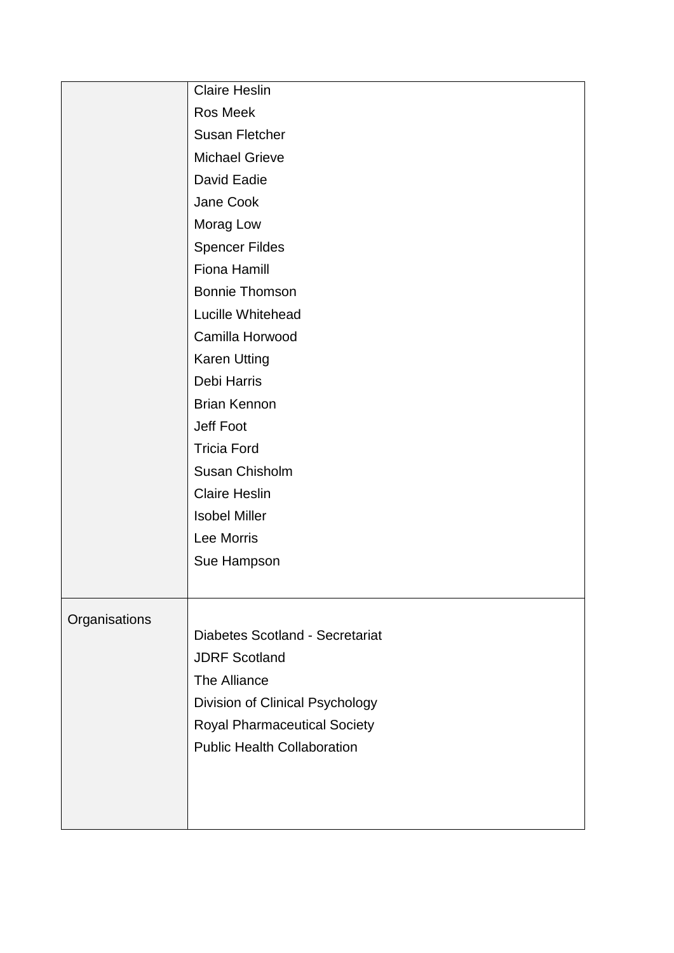|               | <b>Claire Heslin</b>                |
|---------------|-------------------------------------|
|               | Ros Meek                            |
|               | <b>Susan Fletcher</b>               |
|               | <b>Michael Grieve</b>               |
|               | David Eadie                         |
|               | Jane Cook                           |
|               | Morag Low                           |
|               | <b>Spencer Fildes</b>               |
|               | <b>Fiona Hamill</b>                 |
|               | <b>Bonnie Thomson</b>               |
|               | Lucille Whitehead                   |
|               | Camilla Horwood                     |
|               | <b>Karen Utting</b>                 |
|               | Debi Harris                         |
|               | <b>Brian Kennon</b>                 |
|               | Jeff Foot                           |
|               | <b>Tricia Ford</b>                  |
|               | Susan Chisholm                      |
|               | <b>Claire Heslin</b>                |
|               | <b>Isobel Miller</b>                |
|               | Lee Morris                          |
|               | Sue Hampson                         |
|               |                                     |
| Organisations |                                     |
|               | Diabetes Scotland - Secretariat     |
|               | <b>JDRF Scotland</b>                |
|               | The Alliance                        |
|               | Division of Clinical Psychology     |
|               | <b>Royal Pharmaceutical Society</b> |
|               | <b>Public Health Collaboration</b>  |
|               |                                     |
|               |                                     |
|               |                                     |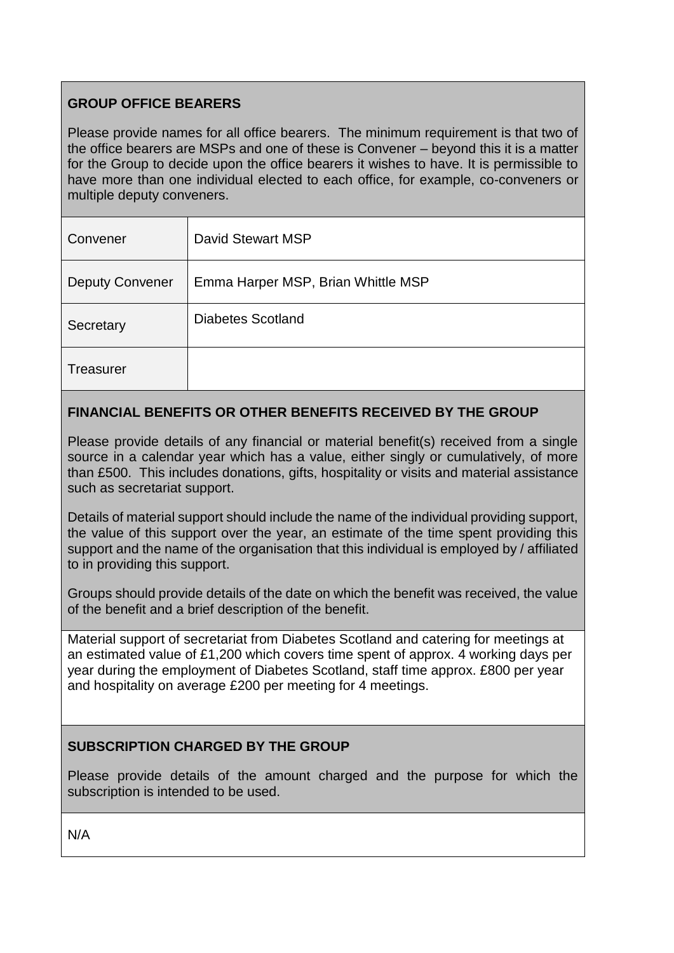## **GROUP OFFICE BEARERS**

Please provide names for all office bearers. The minimum requirement is that two of the office bearers are MSPs and one of these is Convener – beyond this it is a matter for the Group to decide upon the office bearers it wishes to have. It is permissible to have more than one individual elected to each office, for example, co-conveners or multiple deputy conveners.

| Convener               | David Stewart MSP                  |
|------------------------|------------------------------------|
| <b>Deputy Convener</b> | Emma Harper MSP, Brian Whittle MSP |
| Secretary              | Diabetes Scotland                  |
| Treasurer              |                                    |

## **FINANCIAL BENEFITS OR OTHER BENEFITS RECEIVED BY THE GROUP**

Please provide details of any financial or material benefit(s) received from a single source in a calendar year which has a value, either singly or cumulatively, of more than £500. This includes donations, gifts, hospitality or visits and material assistance such as secretariat support.

Details of material support should include the name of the individual providing support, the value of this support over the year, an estimate of the time spent providing this support and the name of the organisation that this individual is employed by / affiliated to in providing this support.

Groups should provide details of the date on which the benefit was received, the value of the benefit and a brief description of the benefit.

Material support of secretariat from Diabetes Scotland and catering for meetings at an estimated value of £1,200 which covers time spent of approx. 4 working days per year during the employment of Diabetes Scotland, staff time approx. £800 per year and hospitality on average £200 per meeting for 4 meetings.

## **SUBSCRIPTION CHARGED BY THE GROUP**

Please provide details of the amount charged and the purpose for which the subscription is intended to be used.

N/A